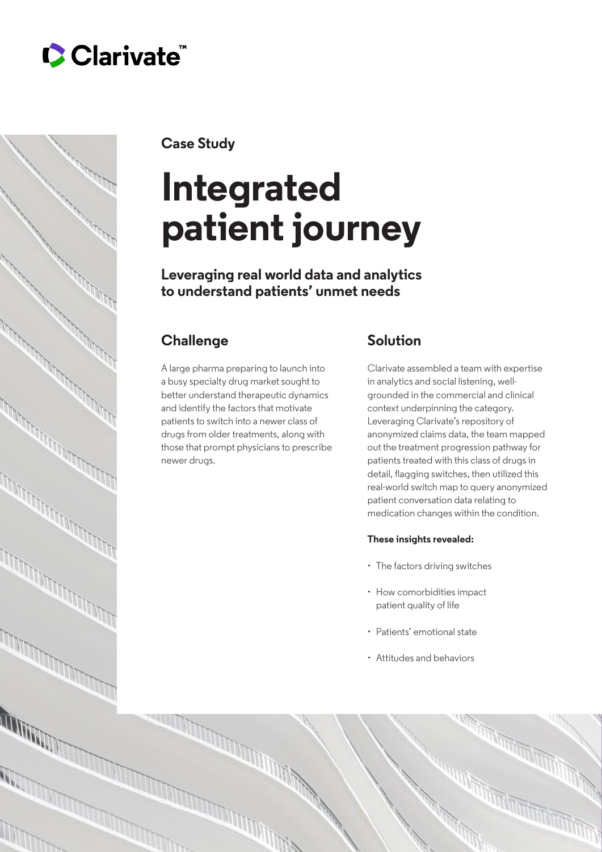



**Case Study**

# **Integrated patient journey**

**Leveraging real world data and analytics to understand patients' unmet needs**

## **Challenge**

A large pharma preparing to launch into a busy specialty drug market sought to better understand therapeutic dynamics and identify the factors that motivate patients to switch into a newer class of drugs from older treatments, along with those that prompt physicians to prescribe newer drugs.

## **Solution**

Clarivate assembled a team with expertise in analytics and social listening, wellgrounded in the commercial and clinical context underpinning the category. Leveraging Clarivate's repository of anonymized claims data, the team mapped out the treatment progression pathway for patients treated with this class of drugs in detail, flagging switches, then utilized this real-world switch map to query anonymized patient conversation data relating to medication changes within the condition.

#### **These insights revealed:**

- The factors driving switches
- How comorbidities impact patient quality of life
- Patients' emotional state
- Attitudes and behaviors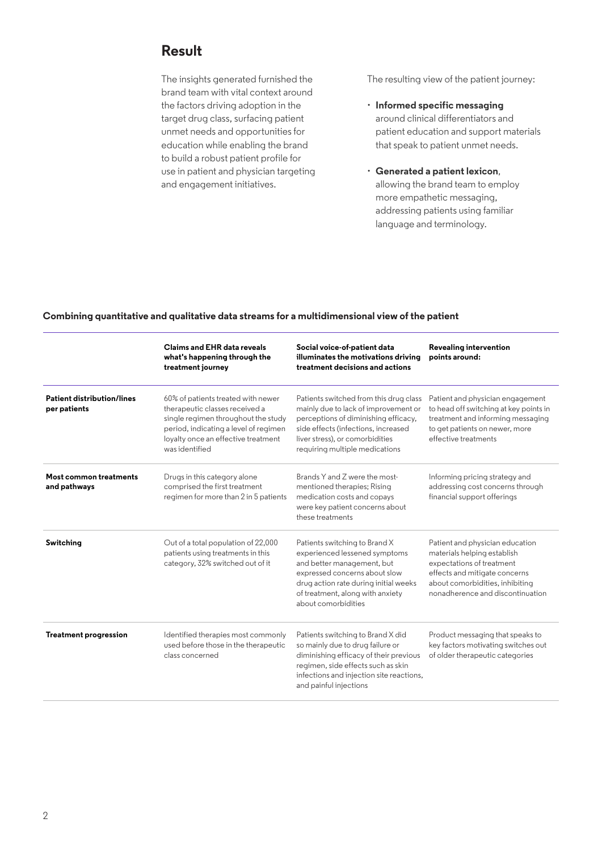### **Result**

The insights generated furnished the brand team with vital context around the factors driving adoption in the target drug class, surfacing patient unmet needs and opportunities for education while enabling the brand to build a robust patient profile for use in patient and physician targeting and engagement initiatives.

The resulting view of the patient journey:

- **Informed specific messaging** around clinical differentiators and patient education and support materials that speak to patient unmet needs.
- **Generated a patient lexicon**, allowing the brand team to employ more empathetic messaging, addressing patients using familiar language and terminology.

#### **Combining quantitative and qualitative data streams for a multidimensional view of the patient**

|                                                   | <b>Claims and EHR data reveals</b><br>what's happening through the<br>treatment journey                                                                                                                       | Social voice-of-patient data<br>illuminates the motivations driving<br>treatment decisions and actions                                                                                                                             | Revealing intervention<br>points around:                                                                                                                                                            |
|---------------------------------------------------|---------------------------------------------------------------------------------------------------------------------------------------------------------------------------------------------------------------|------------------------------------------------------------------------------------------------------------------------------------------------------------------------------------------------------------------------------------|-----------------------------------------------------------------------------------------------------------------------------------------------------------------------------------------------------|
| <b>Patient distribution/lines</b><br>per patients | 60% of patients treated with newer<br>therapeutic classes received a<br>single regimen throughout the study<br>period, indicating a level of regimen<br>loyalty once an effective treatment<br>was identified | Patients switched from this drug class<br>mainly due to lack of improvement or<br>perceptions of diminishing efficacy.<br>side effects (infections, increased<br>liver stress), or comorbidities<br>requiring multiple medications | Patient and physician engagement<br>to head off switching at key points in<br>treatment and informing messaging<br>to get patients on newer, more<br>effective treatments                           |
| Most common treatments<br>and pathways            | Drugs in this category alone<br>comprised the first treatment<br>regimen for more than 2 in 5 patients                                                                                                        | Brands Y and Z were the most-<br>mentioned therapies; Rising<br>medication costs and copays<br>were key patient concerns about<br>these treatments                                                                                 | Informing pricing strategy and<br>addressing cost concerns through<br>financial support offerings                                                                                                   |
| Switching                                         | Out of a total population of 22,000<br>patients using treatments in this<br>category, 32% switched out of it                                                                                                  | Patients switching to Brand X<br>experienced lessened symptoms<br>and better management, but<br>expressed concerns about slow<br>drug action rate during initial weeks<br>of treatment, along with anxiety<br>about comorbidities  | Patient and physician education<br>materials helping establish<br>expectations of treatment<br>effects and mitigate concerns<br>about comorbidities, inhibiting<br>nonadherence and discontinuation |
| <b>Treatment progression</b>                      | Identified therapies most commonly<br>used before those in the therapeutic<br>class concerned                                                                                                                 | Patients switching to Brand X did<br>so mainly due to drug failure or<br>diminishing efficacy of their previous<br>regimen, side effects such as skin<br>infections and injection site reactions,<br>and painful injections        | Product messaging that speaks to<br>key factors motivating switches out<br>of older therapeutic categories                                                                                          |